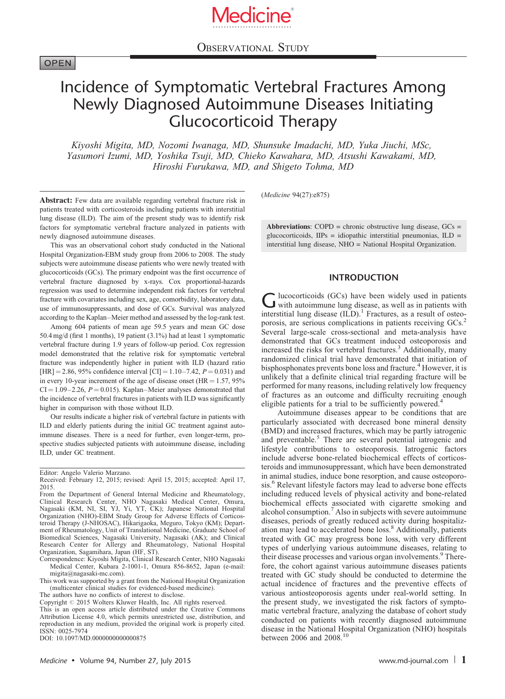

OBSERVATIONAL STUDY

Medicine**®**

# Incidence of Symptomatic Vertebral Fractures Among Newly Diagnosed Autoimmune Diseases Initiating Glucocorticoid Therapy

Kiyoshi Migita, MD, Nozomi Iwanaga, MD, Shunsuke Imadachi, MD, Yuka Jiuchi, MSc, Yasumori Izumi, MD, Yoshika Tsuji, MD, Chieko Kawahara, MD, Atsushi Kawakami, MD, Hiroshi Furukawa, MD, and Shigeto Tohma, MD

Abstract: Few data are available regarding vertebral fracture risk in patients treated with corticosteroids including patients with interstitial lung disease (ILD). The aim of the present study was to identify risk factors for symptomatic vertebral fracture analyzed in patients with newly diagnosed autoimmune diseases.

This was an observational cohort study conducted in the National Hospital Organization-EBM study group from 2006 to 2008. The study subjects were autoimmune disease patients who were newly treated with glucocorticoids (GCs). The primary endpoint was the first occurrence of vertebral fracture diagnosed by x-rays. Cox proportional-hazards regression was used to determine independent risk factors for vertebral fracture with covariates including sex, age, comorbidity, laboratory data, use of immunosuppressants, and dose of GCs. Survival was analyzed according to the Kaplan–Meier method and assessed by the log-rank test.

Among 604 patients of mean age 59.5 years and mean GC dose 50.4 mg/d (first 1 months), 19 patient (3.1%) had at least 1 symptomatic vertebral fracture during 1.9 years of follow-up period. Cox regression model demonstrated that the relative risk for symptomatic vertebral fracture was independently higher in patient with ILD (hazard ratio  $[HR] = 2.86, 95\%$  confidence interval  $[CI] = 1.10-7.42, P = 0.031$  and in every 10-year increment of the age of disease onset  $(HR = 1.57, 95\%$  $CI = 1.09 - 2.26$ ,  $P = 0.015$ ). Kaplan–Meier analyses demonstrated that the incidence of vertebral fractures in patients with ILD was significantly higher in comparison with those without ILD.

Our results indicate a higher risk of vertebral facture in patients with ILD and elderly patients during the initial GC treatment against autoimmune diseases. There is a need for further, even longer-term, prospective studies subjected patients with autoimmune disease, including ILD, under GC treatment.

This work was supported by a grant from the National Hospital Organization (multicenter clinical studies for evidenced-based medicine).

The authors have no conflicts of interest to disclose.

Copyright © 2015 Wolters Kluwer Health, Inc. All rights reserved.

(Medicine 94(27):e875)

Abbreviations:  $COPD =$  chronic obstructive lung disease,  $GCs =$ glucocorticoids,  $IIPs = idi$ opathic interstitial pneumonias,  $ILD =$ interstitial lung disease, NHO = National Hospital Organization.

#### INTRODUCTION

G lucocorticoids (GCs) have been widely used in patients<br>with autoimmune lung disease, as well as in patients with interstitial lung disease  $(ILD)^{1}$  $(ILD)^{1}$  $(ILD)^{1}$  Fractures, as a result of osteo-porosis, are serious complications in patients receiving GCs.<sup>[2](#page-7-0)</sup> Several large-scale cross-sectional and meta-analysis have demonstrated that GCs treatment induced osteoporosis and increased the risks for vertebral fractures.<sup>[3](#page-7-0)</sup> Additionally, many randomized clinical trial have demonstrated that initiation of bisphosphonates prevents bone loss and fracture.<sup>[4](#page-7-0)</sup> However, it is unlikely that a definite clinical trial regarding fracture will be performed for many reasons, including relatively low frequency of fractures as an outcome and difficulty recruiting enough eligible patients for a trial to be sufficiently powered.<sup>[4](#page-7-0)</sup>

Autoimmune diseases appear to be conditions that are particularly associated with decreased bone mineral density (BMD) and increased fractures, which may be partly iatrogenic and preventable.<sup>[5](#page-7-0)</sup> There are several potential iatrogenic and lifestyle contributions to osteoporosis. Iatrogenic factors include adverse bone-related biochemical effects of corticosteroids and immunosuppressant, which have been demonstrated in animal studies, induce bone resorption, and cause osteoporo-sis.<sup>[6](#page-7-0)</sup> Relevant lifestyle factors may lead to adverse bone effects including reduced levels of physical activity and bone-related biochemical effects associated with cigarette smoking and alcohol consumption.<sup>[7](#page-7-0)</sup> Also in subjects with severe autoimmune diseases, periods of greatly reduced activity during hospitalization may lead to accelerated bone loss.[8](#page-7-0) Additionally, patients treated with GC may progress bone loss, with very different types of underlying various autoimmune diseases, relating to their disease processes and various organ involvements.<sup>[9](#page-7-0)</sup> Therefore, the cohort against various autoimmune diseases patients treated with GC study should be conducted to determine the actual incidence of fractures and the preventive effects of various antiosteoporosis agents under real-world setting. In the present study, we investigated the risk factors of symptomatic vertebral fracture, analyzing the database of cohort study conducted on patients with recently diagnosed autoimmune disease in the National Hospital Organization (NHO) hospitals between 2006 and 2008.<sup>[10](#page-7-0)</sup>

Editor: Angelo Valerio Marzano.

Received: February 12, 2015; revised: April 15, 2015; accepted: April 17, 2015.

From the Department of General Internal Medicine and Rheumatology, Clinical Research Center, NHO Nagasaki Medical Center, Omura, Nagasaki (KM, NI, SI, YJ, Yi, YT, CK); Japanese National Hospital Organization (NHO)-EBM Study Group for Adverse Effects of Corticosteroid Therapy (J-NHOSAC), Hikarigaoka, Meguro, Tokyo (KM); Department of Rheumatology, Unit of Translational Medicine, Graduate School of Biomedical Sciences, Nagasaki University, Nagasaki (AK); and Clinical Research Center for Allergy and Rheumatology, National Hospital Organization, Sagamihara, Japan (HF, ST).

Correspondence: Kiyoshi Migita, Clinical Research Center, NHO Nagasaki Medical Center, Kubara 2-1001-1, Omura 856-8652, Japan (e-mail: [migita@nagasaki-mc.com](mailto:migita@nagasaki-mc.com)).

This is an open access article distributed under the Creative Commons Attribution License 4.0, which permits unrestricted use, distribution, and reproduction in any medium, provided the original work is properly cited. ISSN: 0025-7974

DOI: [10.1097/MD.0000000000000875](http://dx.doi.org/10.1097/MD.0000000000000875)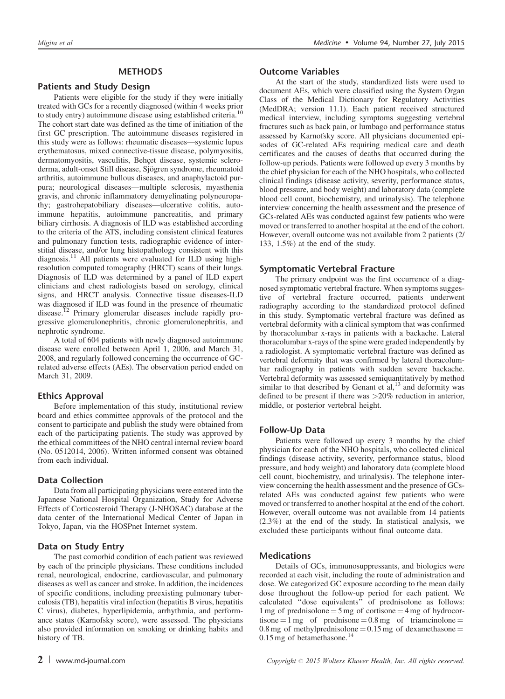## METHODS

### Patients and Study Design

Patients were eligible for the study if they were initially treated with GCs for a recently diagnosed (within 4 weeks prior to study entry) autoimmune disease using established criteria.<sup>[10](#page-7-0)</sup> The cohort start date was defined as the time of initiation of the first GC prescription. The autoimmune diseases registered in this study were as follows: rheumatic diseases—systemic lupus erythematosus, mixed connective-tissue disease, polymyositis, dermatomyositis, vasculitis, Behçet disease, systemic scleroderma, adult-onset Still disease, Sjögren syndrome, rheumatoid arthritis, autoimmune bullous diseases, and anaphylactoid purpura; neurological diseases—multiple sclerosis, myasthenia gravis, and chronic inflammatory demyelinating polyneuropathy; gastrohepatobiliary diseases—ulcerative colitis, autoimmune hepatitis, autoimmune pancreatitis, and primary biliary cirrhosis. A diagnosis of ILD was established according to the criteria of the ATS, including consistent clinical features and pulmonary function tests, radiographic evidence of interstitial disease, and/or lung histopathology consistent with this diagnosis.<sup>[11](#page-7-0)</sup> All patients were evaluated for ILD using highresolution computed tomography (HRCT) scans of their lungs. Diagnosis of ILD was determined by a panel of ILD expert clinicians and chest radiologists based on serology, clinical signs, and HRCT analysis. Connective tissue diseases-ILD was diagnosed if ILD was found in the presence of rheumatic disease.[12](#page-7-0) Primary glomerular diseases include rapidly progressive glomerulonephritis, chronic glomerulonephritis, and nephrotic syndrome.

A total of 604 patients with newly diagnosed autoimmune disease were enrolled between April 1, 2006, and March 31, 2008, and regularly followed concerning the occurrence of GCrelated adverse effects (AEs). The observation period ended on March 31, 2009.

# Ethics Approval

Before implementation of this study, institutional review board and ethics committee approvals of the protocol and the consent to participate and publish the study were obtained from each of the participating patients. The study was approved by the ethical committees of the NHO central internal review board (No. 0512014, 2006). Written informed consent was obtained from each individual.

#### Data Collection

Data from all participating physicians were entered into the Japanese National Hospital Organization, Study for Adverse Effects of Corticosteroid Therapy (J-NHOSAC) database at the data center of the International Medical Center of Japan in Tokyo, Japan, via the HOSPnet Internet system.

# Data on Study Entry

The past comorbid condition of each patient was reviewed by each of the principle physicians. These conditions included renal, neurological, endocrine, cardiovascular, and pulmonary diseases as well as cancer and stroke. In addition, the incidences of specific conditions, including preexisting pulmonary tuberculosis (TB), hepatitis viral infection (hepatitis B virus, hepatitis C virus), diabetes, hyperlipidemia, arrhythmia, and performance status (Karnofsky score), were assessed. The physicians also provided information on smoking or drinking habits and history of TB.

#### Outcome Variables

At the start of the study, standardized lists were used to document AEs, which were classified using the System Organ Class of the Medical Dictionary for Regulatory Activities (MedDRA; version 11.1). Each patient received structured medical interview, including symptoms suggesting vertebral fractures such as back pain, or lumbago and performance status assessed by Karnofsky score. All physicians documented episodes of GC-related AEs requiring medical care and death certificates and the causes of deaths that occurred during the follow-up periods. Patients were followed up every 3 months by the chief physician for each of the NHO hospitals, who collected clinical findings (disease activity, severity, performance status, blood pressure, and body weight) and laboratory data (complete blood cell count, biochemistry, and urinalysis). The telephone interview concerning the health assessment and the presence of GCs-related AEs was conducted against few patients who were moved or transferred to another hospital at the end of the cohort. However, overall outcome was not available from 2 patients (2/ 133, 1.5%) at the end of the study.

# Symptomatic Vertebral Fracture

The primary endpoint was the first occurrence of a diagnosed symptomatic vertebral fracture. When symptoms suggestive of vertebral fracture occurred, patients underwent radiography according to the standardized protocol defined in this study. Symptomatic vertebral fracture was defined as vertebral deformity with a clinical symptom that was confirmed by thoracolumbar x-rays in patients with a backache. Lateral thoracolumbar x-rays of the spine were graded independently by a radiologist. A symptomatic vertebral fracture was defined as vertebral deformity that was confirmed by lateral thoracolumbar radiography in patients with sudden severe backache. Vertebral deformity was assessed semiquantitatively by method similar to that described by Genant et  $al$ ,<sup>[13](#page-7-0)</sup> and deformity was defined to be present if there was >20% reduction in anterior, middle, or posterior vertebral height.

# Follow-Up Data

Patients were followed up every 3 months by the chief physician for each of the NHO hospitals, who collected clinical findings (disease activity, severity, performance status, blood pressure, and body weight) and laboratory data (complete blood cell count, biochemistry, and urinalysis). The telephone interview concerning the health assessment and the presence of GCsrelated AEs was conducted against few patients who were moved or transferred to another hospital at the end of the cohort. However, overall outcome was not available from 14 patients (2.3%) at the end of the study. In statistical analysis, we excluded these participants without final outcome data.

#### Medications

Details of GCs, immunosuppressants, and biologics were recorded at each visit, including the route of administration and dose. We categorized GC exposure according to the mean daily dose throughout the follow-up period for each patient. We calculated ''dose equivalents'' of prednisolone as follows: 1 mg of prednisolone  $=$  5 mg of cortisone  $=$  4 mg of hydrocortisone  $= 1$  mg of prednisone  $= 0.8$  mg of triamcinolone  $=$ 0.8 mg of methylprednisolone  $= 0.15$  mg of dexamethasone  $=$ 0.15 mg of betamethasone.<sup>[14](#page-7-0)</sup>

2 | www.md-journal.com  $\text{Copyright\textdegreeled{}}2015 \text{ Wolters Kluwer Health, Inc. All rights reserved.}$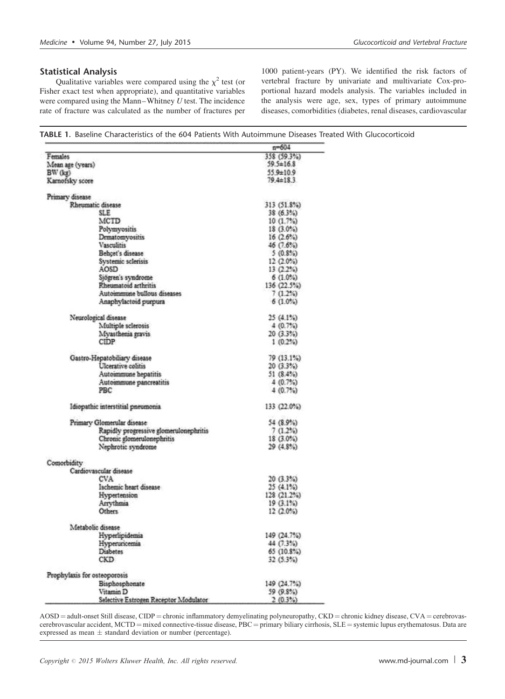# <span id="page-2-0"></span>Statistical Analysis

Qualitative variables were compared using the  $\chi^2$  test (or Fisher exact test when appropriate), and quantitative variables were compared using the Mann–Whitney  $\hat{U}$  test. The incidence rate of fracture was calculated as the number of fractures per 1000 patient-years (PY). We identified the risk factors of vertebral fracture by univariate and multivariate Cox-proportional hazard models analysis. The variables included in the analysis were age, sex, types of primary autoimmune diseases, comorbidities (diabetes, renal diseases, cardiovascular

| <b>TABLE 1.</b> Baseline Characteristics of the 604 Patients With Autoimmune Diseases Treated With Glucocorticoid |  |
|-------------------------------------------------------------------------------------------------------------------|--|
|-------------------------------------------------------------------------------------------------------------------|--|

|                                        | $n = 604$                |
|----------------------------------------|--------------------------|
| Females                                | 358 (59.3%)              |
| Mean age (years)                       | $59.5 \pm 16.8$          |
| BW (kg)                                | $55.9 \pm 10.9$          |
| Karnofsky score                        | $79.4 \pm 18.3$          |
|                                        |                          |
| Primary disease                        |                          |
| Rheumatic disease                      | 313 (51.8%)              |
| SLE                                    | $38(6.3\%)$              |
| <b>MCTD</b>                            | 10(1.7%)                 |
| Polymyositis                           | $18(3.0\%)$              |
| Drmatomyositis                         | 16(2.6%)                 |
| <b>Vasculitis</b>                      | 46(7.6%)                 |
| Behcet's disease                       | 5(0.8%)                  |
| Systemic sclerisis                     | 12(2.0%)                 |
| AOSD                                   | 13(2.2%)                 |
| Sjögren's syndrome                     | $6(1.0\%)$               |
| Rheumatoid arthritis                   | 136 (22.5%)              |
| Autoimmune bullous diseases            | 7(1.2%)                  |
| Anaphylactoid purpura                  | $6(1.0\%)$               |
|                                        |                          |
| Neurological disease                   | 25(4.1%)                 |
| Multiple sclerosis                     | 4(0.7%)                  |
| Myasthenia gravis                      | 20(3.3%)                 |
| CIDP                                   | 1(0.2%)                  |
|                                        |                          |
| Gastro-Hepatobiliary disease           | 79 (13.1%)               |
| Ulcerative colitis                     | 20(3.3%)                 |
| Autommune hepatitis                    | 51 $(8.4%)$              |
| Autommune pancreatitis                 | 4(0.7%)                  |
| PBC                                    | 4(0.7%)                  |
| Idiopathic interstitial pneumonia      | 133 (22.0%)              |
| Primary Glomerular disease             | 54 (8.9%)                |
|                                        | 7(1.2%)                  |
| Rapidly progressive glomerulonephritis |                          |
| Chronic glomerulonephritis             | 18 (3.0%)                |
| Nephrotic syndrome                     | 29 (4.8%)                |
| Comorbidity                            |                          |
| Cardiovascular disease                 |                          |
| CVA.                                   | 20(3.3%)                 |
| Ischemic heart disease                 | 25 (4.1%)                |
| Hypertension                           | 128 (21.2%)              |
| Arrythmia                              | 19(3.1%)                 |
| <b>Others</b>                          | 12(2.0%)                 |
|                                        |                          |
| Metabolic disease                      |                          |
| Hyperlipidemia                         | 149 (24.7%)              |
| Hyperuncemia                           | 44 (7.3%)                |
| <b>Diabetes</b>                        | $65(10.8\%)$             |
| <b>CKD</b>                             | 32(5.3%)                 |
|                                        |                          |
| Prophylaxis for osteoporosis           |                          |
| Bisphosphonate<br>Vitamin <sub>D</sub> | 149 (24.7%)<br>59 (9.8%) |
| Selective Estrogen Receptor Modulator  | 2(0.3%)                  |

AOSD = adult-onset Still disease, CIDP = chronic inflammatory demyelinating polyneuropathy, CKD = chronic kidney disease, CVA = cerebrovascerebrovascular accident, MCTD = mixed connective-tissue disease, PBC = primary biliary cirrhosis, SLE = systemic lupus erythematosus. Data are expressed as mean  $\pm$  standard deviation or number (percentage).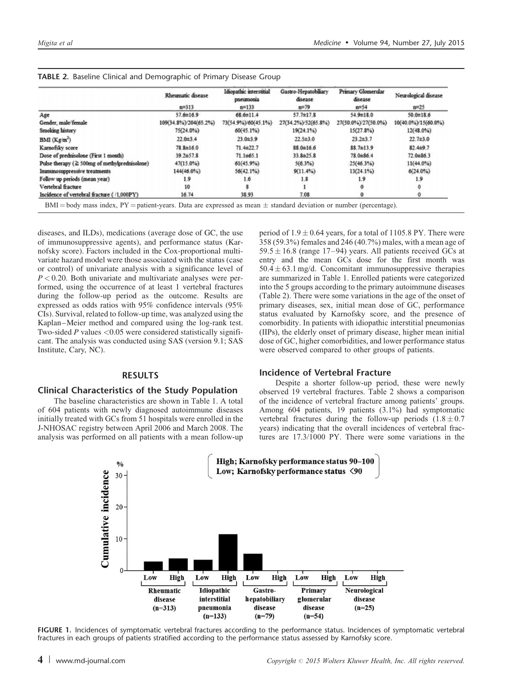|                                                     | Rheumatic disease     | Idiopathic interstitial<br>pneumonia | Gastro-Hepatobiliary<br>disease | Primary Glomerular<br>disease | Neurological disease |
|-----------------------------------------------------|-----------------------|--------------------------------------|---------------------------------|-------------------------------|----------------------|
|                                                     | $n = 313$             | $n = 133$                            | $n = 79$                        | $n = 54$                      | $n = 25$             |
| Age                                                 | $57.6 \pm 16.9$       | $68.6 \pm 11.4$                      | $57.7 \pm 17.8$                 | 54.9±18.0                     | $50.0 \pm 18.6$      |
| Gender, male female                                 | 109(34.8%)/204(65.2%) | 73(54.9%)/60(45.1%)                  | 27(34.2%)/52(65.8%)             | 27(50.0%)/27(50.0%)           | 10(40.0%)/15(60.0%)  |
| Smoking history                                     | 75(24.0%)             | 60(45.1%)                            | $19(24.1\%)$                    | $15(27.8\%)$                  | $12(48.0\%)$         |
| BMI (Kg/m <sup>2</sup> )                            | $22.0 \pm 3.4$        | $23.0 \pm 3.9$                       | $22.5 \pm 3.0$                  | $23.2 \pm 3.7$                | $22.7 \pm 3.0$       |
| Karnofsky score                                     | $78.8 \pm 16.0$       | $71.4 \pm 22.7$                      | $88.0 \pm 16.6$                 | 88.7±13.9                     | $82.4 \pm 9.7$       |
| Dose of prednisolone (First 1 month)                | $39.2 \pm 57.8$       | $71.1 \pm 65.1$                      | $33.8 \pm 25.8$                 | $78.0 \pm 86.4$               | 72.0±86.3            |
| Pulse therapy ( $\geq$ 500mg of methylprednisolone) | 47(15.0%)             | $61(45.9\%)$                         | $5(6.3\%)$                      | $25(46.3\%)$                  | $11(44.0\%)$         |
| Immunosuppressive treatments                        | 144(46.0%)            | $56(42.1\%)$                         | 9(11.4%)                        | $13(24.1\%)$                  | $6(24.0\%)$          |
| Follow up periods (mean year)                       | 1.9                   | 1.6                                  | 1.8                             | 1.9                           | 1.9                  |
| Vertebral fracture                                  | 10                    |                                      |                                 |                               |                      |
| Incidence of vertebral fracture (/1,000PY)          | 16.74                 | 38.93                                | 7.08                            |                               |                      |

<span id="page-3-0"></span>

| <b>TABLE 2.</b> Baseline Clinical and Demographic of Primary Disease Group |
|----------------------------------------------------------------------------|
|----------------------------------------------------------------------------|

diseases, and ILDs), medications (average dose of GC, the use of immunosuppressive agents), and performance status (Karnofsky score). Factors included in the Cox-proportional multivariate hazard model were those associated with the status (case or control) of univariate analysis with a significance level of  $P < 0.20$ . Both univariate and multivariate analyses were performed, using the occurrence of at least 1 vertebral fractures during the follow-up period as the outcome. Results are expressed as odds ratios with 95% confidence intervals (95% CIs). Survival, related to follow-up time, was analyzed using the Kaplan–Meier method and compared using the log-rank test. Two-sided  $P$  values  $< 0.05$  were considered statistically significant. The analysis was conducted using SAS (version 9.1; SAS Institute, Cary, NC).

## RESULTS

#### Clinical Characteristics of the Study Population

The baseline characteristics are shown in [Table 1](#page-2-0). A total of 604 patients with newly diagnosed autoimmune diseases initially treated with GCs from 51 hospitals were enrolled in the J-NHOSAC registry between April 2006 and March 2008. The analysis was performed on all patients with a mean follow-up

period of  $1.9 \pm 0.64$  years, for a total of 1105.8 PY. There were 358 (59.3%) females and 246 (40.7%) males, with a mean age of  $59.5 \pm 16.8$  (range 17–94) years. All patients received GCs at entry and the mean GCs dose for the first month was  $50.4 \pm 63.1$  mg/d. Concomitant immunosuppressive therapies are summarized in [Table 1.](#page-2-0) Enrolled patients were categorized into the 5 groups according to the primary autoimmune diseases (Table 2). There were some variations in the age of the onset of primary diseases, sex, initial mean dose of GC, performance status evaluated by Karnofsky score, and the presence of comorbidity. In patients with idiopathic interstitial pneumonias (IIPs), the elderly onset of primary disease, higher mean initial dose of GC, higher comorbidities, and lower performance status were observed compared to other groups of patients.

#### Incidence of Vertebral Fracture

Despite a shorter follow-up period, these were newly observed 19 vertebral fractures. Table 2 shows a comparison of the incidence of vertebral fracture among patients' groups. Among 604 patients, 19 patients (3.1%) had symptomatic vertebral fractures during the follow-up periods  $(1.8 \pm 0.7)$ years) indicating that the overall incidences of vertebral fractures are 17.3/1000 PY. There were some variations in the



FIGURE 1. Incidences of symptomatic vertebral fractures according to the performance status. Incidences of symptomatic vertebral fractures in each groups of patients stratified according to the performance status assessed by Karnofsky score.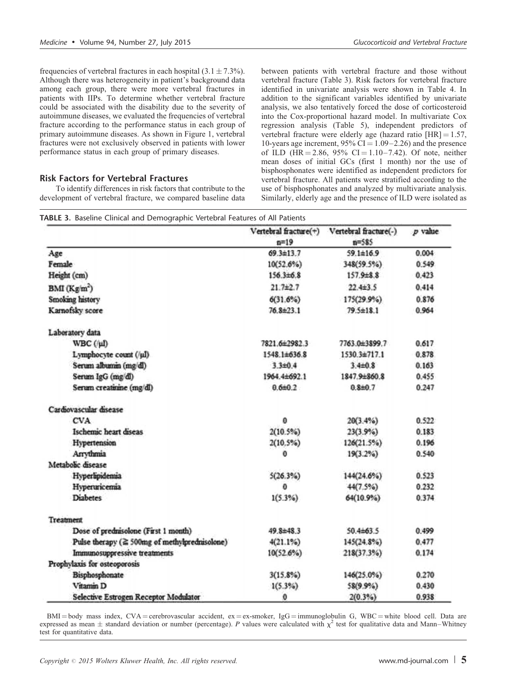frequencies of vertebral fractures in each hospital  $(3.1 \pm 7.3\%)$ . Although there was heterogeneity in patient's background data among each group, there were more vertebral fractures in patients with IIPs. To determine whether vertebral fracture could be associated with the disability due to the severity of autoimmune diseases, we evaluated the frequencies of vertebral fracture according to the performance status in each group of primary autoimmune diseases. As shown in [Figure 1](#page-3-0), vertebral fractures were not exclusively observed in patients with lower performance status in each group of primary diseases.

### Risk Factors for Vertebral Fractures

To identify differences in risk factors that contribute to the development of vertebral fracture, we compared baseline data between patients with vertebral fracture and those without vertebral fracture (Table 3). Risk factors for vertebral fracture identified in univariate analysis were shown in [Table 4](#page-5-0). In addition to the significant variables identified by univariate analysis, we also tentatively forced the dose of corticosteroid into the Cox-proportional hazard model. In multivariate Cox regression analysis [\(Table 5](#page-5-0)), independent predictors of vertebral fracture were elderly age (hazard ratio  $[HR] = 1.57$ , 10-years age increment,  $95\%$  CI = 1.09–2.26) and the presence of ILD (HR = 2.86, 95% CI = 1.10–7.42). Of note, neither mean doses of initial GCs (first 1 month) nor the use of bisphosphonates were identified as independent predictors for vertebral fracture. All patients were stratified according to the use of bisphosphonates and analyzed by multivariate analysis. Similarly, elderly age and the presence of ILD were isolated as

|  |  | TABLE 3. Baseline Clinical and Demographic Vertebral Features of All Patients |
|--|--|-------------------------------------------------------------------------------|
|--|--|-------------------------------------------------------------------------------|

|                                               | Vertebral fracture(+)<br>$n = 19$ | Vertebral fracture(-)<br>$n = 585$ | $p$ value |
|-----------------------------------------------|-----------------------------------|------------------------------------|-----------|
|                                               | 69.3±13.7                         | $59.1 \pm 16.9$                    | 0.004     |
| Age<br>Female                                 |                                   |                                    |           |
|                                               | 10(52.6%)                         | 348(59.5%)                         | 0.549     |
| Height (cm)                                   | $156.3\pm 6.8$                    | $157.9 \pm 8.8$                    | 0.423     |
| BMI (Kg/m <sup>2</sup> )                      | $21.7+2.7$                        | $22.4 \pm 3.5$                     | 0.414     |
| Smoking history                               | $6(31.6\%)$                       | 175(29.9%)                         | 0.876     |
| Karnofsky score                               | 76.8±23.1                         | $79.5 \pm 18.1$                    | 0.964     |
| Laboratory data                               |                                   |                                    |           |
| WBC (/µl)                                     | 7821.6±2982.3                     | 7763.0±3899.7                      | 0.617     |
| Lymphocyte count (/µI)                        | 1548 1±636.8                      | 1530.3±717.1                       | 0.878     |
| Serum albumin (mg/dl)                         | $3.3{\pm}0.4$                     | $3.4 \pm 0.8$                      | 0.163     |
| Serum IgG (mg/dl)                             | 1964.4±692.1                      | 1847.9±860.8                       | 0.455     |
| Serum creatinine (mg/dl)                      | 0.660.2                           | $0.8 \pm 0.7$                      | 0.247     |
| Cardiovascular disease                        |                                   |                                    |           |
| <b>CVA</b>                                    | o                                 | $20(3.4\%)$                        | 0.522     |
| Ischemic heart diseas                         | $2(10.5\%)$                       | 23(3.9%)                           | 0.183     |
| Hypertension                                  | $2(10.5\%)$                       | 126(21.5%)                         | 0.196     |
| Arrythmia                                     | o                                 | $19(3.2\%)$                        | 0.540     |
| Metabolic disease                             |                                   |                                    |           |
| Hyperlipidemia                                | 5(26.3%)                          | 144(24.6%)                         | 0.523     |
| Hyperuricemia                                 | Ð                                 | 44(7.5%)                           | 0.232     |
| <b>Diabetes</b>                               | 1(5.3%)                           | 64(10.9%)                          | 0.374     |
| Treatment                                     |                                   |                                    |           |
| Dose of prednisolone (First 1 month)          | 49.8±48.3                         | $50.4\pm 63.5$                     | 0.499     |
| Pulse therapy (2 500mg of methylprednisolone) | 4(21.1%)                          | 145(24.8%)                         | 0.477     |
| Immunosuppressive treatments                  | 10(52.6%)                         | 218(37.3%)                         | 0.174     |
| Prophylaxis for osteoporosis                  |                                   |                                    |           |
| Bisphosphonate                                | $3(15.8\%)$                       | 146(25.0%)                         | 0.270     |
| Vitamin D                                     | $1(5.3\%)$                        | 58(9.9%)                           | 0.430     |
| Selective Estrogen Receptor Modulator         | 0                                 | $2(0.3\%)$                         | 0.938     |

 $BMI = body$  mass index,  $CVA = cerebrovascular accident$ ,  $ex = ex-smoker$ ,  $IgG = immunoglobulin G$ ,  $WBC = white blood cell$ . Data are expressed as mean  $\pm$  standard deviation or number (percentage). P values were calculated with  $\chi^2$  test for qualitative data and Mann–Whitney test for quantitative data.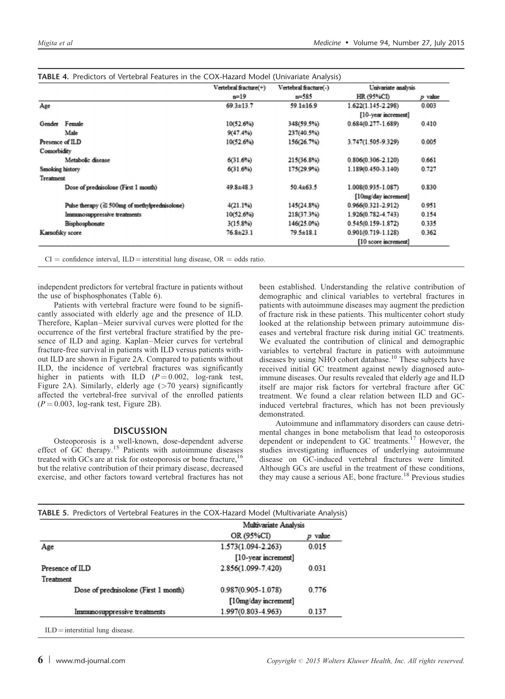|                                                     | Vertebral fracture(+) | Vertebral fracture(-) | Univariate analysis    |           |
|-----------------------------------------------------|-----------------------|-----------------------|------------------------|-----------|
|                                                     | $n=19$                | $n = 585$             | HR (95%CD)             | $p$ value |
| Age                                                 | $69.3 \pm 13.7$       | $59.1 \pm 16.9$       | 1.622(1.145-2.298)     | 0.003     |
|                                                     |                       |                       | [10-year increment]    |           |
| Female<br>Gender                                    | $10(52.6\%)$          | 348(59.5%)            | 0.684(0.277-1.689)     | 0.410     |
| Male                                                | 9(47.4%)              | 237(40.5%)            |                        |           |
| Presence of ILD                                     | 10(52.6%)             | 156(26.7%)            | 3.747(1.505-9.329)     | 0.005     |
| Comorbidity                                         |                       |                       |                        |           |
| Metabolic disease                                   | 6(31.6%)              | 215(36.8%)            | 0.806(0.306-2.120)     | 0.661     |
| Smoking history                                     | $6(31.6\%)$           | 175(29.9%)            | 1.189(0.450-3.140)     | 0.727     |
| Treatment                                           |                       |                       |                        |           |
| Dose of prednisolone (First 1 month)                | $49.8 \pm 48.3$       | $50.4 \pm 63.5$       | 1.008(0.935-1.087)     | 0.830     |
|                                                     |                       |                       | [10mg/day increment]   |           |
| Pulse therapy ( $\geq$ 500mg of methylprednisolone) | 4(21.1%)              | $145(24.8\%)$         | $0.966(0.321 - 2.912)$ | 0.951     |
| Immunosuppressive treatments                        | $10(52.6\%)$          | $218(37.3\%)$         | 1.926(0.782-4.743)     | 0.154     |
| Bisphosphonate                                      | 3(15.896)             | 146(25.0%)            | $0.545(0.159 - 1.872)$ | 0.335     |
| Karnofsky score                                     | $76.8 \pm 23.1$       | $79.5 \pm 18.1$       | $0.901(0.719 - 1.128)$ | 0.362     |
|                                                     |                       |                       | [10 score increment]   |           |

<span id="page-5-0"></span>

|--|

 $CI =$  confidence interval,  $ILD =$  interstitial lung disease,  $OR =$  odds ratio.

independent predictors for vertebral fracture in patients without the use of bisphosphonates [\(Table 6](#page-6-0)).

Patients with vertebral fracture were found to be significantly associated with elderly age and the presence of ILD. Therefore, Kaplan–Meier survival curves were plotted for the occurrence of the first vertebral fracture stratified by the presence of ILD and aging. Kaplan–Meier curves for vertebral fracture-free survival in patients with ILD versus patients without ILD are shown in [Figure 2](#page-6-0)A. Compared to patients without ILD, the incidence of vertebral fractures was significantly higher in patients with ILD  $(P = 0.002, \text{log-rank test},$ [Figure 2A](#page-6-0)). Similarly, elderly age (>70 years) significantly affected the vertebral-free survival of the enrolled patients  $(P = 0.003, \text{log-rank test}, \text{Figure 2B}).$ 

# **DISCUSSION**

Osteoporosis is a well-known, dose-dependent adverse effect of GC therapy.[15](#page-7-0) Patients with autoimmune diseases treated with GCs are at risk for osteoporosis or bone fracture,  $16$ but the relative contribution of their primary disease, decreased exercise, and other factors toward vertebral fractures has not been established. Understanding the relative contribution of demographic and clinical variables to vertebral fractures in patients with autoimmune diseases may augment the prediction of fracture risk in these patients. This multicenter cohort study looked at the relationship between primary autoimmune diseases and vertebral fracture risk during initial GC treatments. We evaluated the contribution of clinical and demographic variables to vertebral fracture in patients with autoimmune diseases by using NHO cohort database.<sup>[10](#page-7-0)</sup> These subjects have received initial GC treatment against newly diagnosed autoimmune diseases. Our results revealed that elderly age and ILD itself are major risk factors for vertebral fracture after GC treatment. We found a clear relation between ILD and GCinduced vertebral fractures, which has not been previously demonstrated.

Autoimmune and inflammatory disorders can cause detrimental changes in bone metabolism that lead to osteoporosis dependent or independent to GC treatments.<sup>[17](#page-7-0)</sup> However, the studies investigating influences of underlying autoimmune disease on GC-induced vertebral fractures were limited. Although GCs are useful in the treatment of these conditions, they may cause a serious AE, bone fracture.<sup>[18](#page-7-0)</sup> Previous studies

|                                      | Multivariate Analysis  |           |
|--------------------------------------|------------------------|-----------|
|                                      | OR (95%CI)             | $p$ value |
| Age                                  | 1.573(1.094-2.263)     | 0.015     |
|                                      | [10-year increment]    |           |
| Presence of ILD                      | 2.856(1.099-7.420)     | 0.031     |
| Treatment                            |                        |           |
| Dose of prednisolone (First 1 month) | $0.987(0.905 - 1.078)$ | 0.776     |
|                                      | [10mg/day increment]   |           |
| Immunosuppressive treatments         | 1.997(0.803-4.963)     | 0.137     |

 $ILD =$  interstitial lung disease.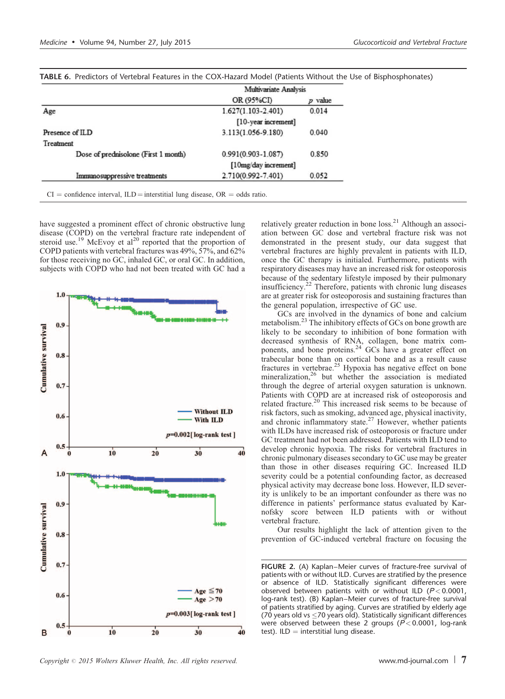|                 |                                      | Multivariate Analysis  |       |  |  |  |
|-----------------|--------------------------------------|------------------------|-------|--|--|--|
|                 | OR (95%CI)<br>$p$ value              |                        |       |  |  |  |
| Age             |                                      | $1.627(1.103 - 2.401)$ | 0.014 |  |  |  |
|                 |                                      | [10-year increment]    |       |  |  |  |
| Presence of ILD |                                      | 3.113(1.056-9.180)     | 0.040 |  |  |  |
| Treatment       |                                      |                        |       |  |  |  |
|                 | Dose of prednisolone (First 1 month) | $0.991(0.903 - 1.087)$ | 0.850 |  |  |  |
|                 |                                      | [10mg/day increment]   |       |  |  |  |
|                 | Immunosuppressive treatments         | 2.710(0.992-7.401)     | 0.052 |  |  |  |

<span id="page-6-0"></span>

| <b>TABLE 6.</b> Predictors of Vertebral Features in the COX-Hazard Model (Patients Without the Use of Bisphosphonates) |  |
|------------------------------------------------------------------------------------------------------------------------|--|
|------------------------------------------------------------------------------------------------------------------------|--|

have suggested a prominent effect of chronic obstructive lung disease (COPD) on the vertebral fracture rate independent of steroid use.<sup>19</sup> McEvoy et al<sup>20</sup> reported that the proportion of COPD patients with vertebral fractures was 49%, 57%, and 62% for those receiving no GC, inhaled GC, or oral GC. In addition, subjects with COPD who had not been treated with GC had a



relatively greater reduction in bone loss.<sup>[21](#page-7-0)</sup> Although an association between GC dose and vertebral fracture risk was not demonstrated in the present study, our data suggest that vertebral fractures are highly prevalent in patients with ILD, once the GC therapy is initialed. Furthermore, patients with respiratory diseases may have an increased risk for osteoporosis because of the sedentary lifestyle imposed by their pulmonary insufficiency.[22](#page-7-0) Therefore, patients with chronic lung diseases are at greater risk for osteoporosis and sustaining fractures than the general population, irrespective of GC use.

GCs are involved in the dynamics of bone and calcium metabolism.[23](#page-7-0) The inhibitory effects of GCs on bone growth are likely to be secondary to inhibition of bone formation with decreased synthesis of RNA, collagen, bone matrix com-<br>ponents, and bone proteins.<sup>[24](#page-7-0)</sup> GCs have a greater effect on trabecular bone than on cortical bone and as a result cause fractures in vertebrae.<sup>[25](#page-7-0)</sup> Hypoxia has negative effect on bone mineralization,<sup>[26](#page-8-0)</sup> but whether the association is mediated through the degree of arterial oxygen saturation is unknown. Patients with COPD are at increased risk of osteoporosis and related fracture.<sup>[20](#page-7-0)</sup> This increased risk seems to be because of risk factors, such as smoking, advanced age, physical inactivity, and chronic inflammatory state. $27$  However, whether patients with ILDs have increased risk of osteoporosis or fracture under GC treatment had not been addressed. Patients with ILD tend to develop chronic hypoxia. The risks for vertebral fractures in chronic pulmonary diseases secondary to GC use may be greater than those in other diseases requiring GC. Increased ILD severity could be a potential confounding factor, as decreased physical activity may decrease bone loss. However, ILD severity is unlikely to be an important confounder as there was no difference in patients' performance status evaluated by Karnofsky score between ILD patients with or without vertebral fracture.

Our results highlight the lack of attention given to the prevention of GC-induced vertebral fracture on focusing the

FIGURE 2. (A) Kaplan–Meier curves of fracture-free survival of patients with or without ILD. Curves are stratified by the presence or absence of ILD. Statistically significant differences were observed between patients with or without ILD ( $P < 0.0001$ , log-rank test). (B) Kaplan–Meier curves of fracture-free survival of patients stratified by aging. Curves are stratified by elderly age (70 years old vs  $\leq$  70 years old). Statistically significant differences were observed between these 2 groups ( $P < 0.0001$ , log-rank test).  $ILD =$  interstitial lung disease.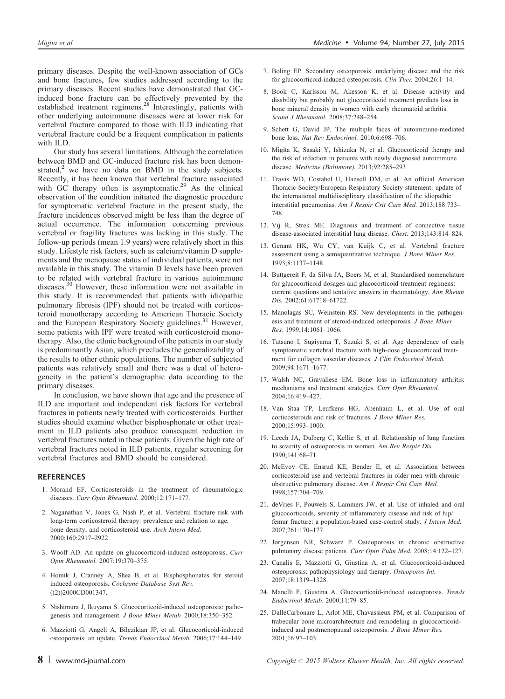<span id="page-7-0"></span>primary diseases. Despite the well-known association of GCs and bone fractures, few studies addressed according to the primary diseases. Recent studies have demonstrated that GC-induced bone fracture can be effectively prevented by the established treatment regimens.<sup>[28](#page-8-0)</sup> Interestingly, patients with other underlying autoimmune diseases were at lower risk for vertebral fracture compared to those with ILD indicating that vertebral fracture could be a frequent complication in patients with ILD.

Our study has several limitations. Although the correlation between BMD and GC-induced fracture risk has been demonstrated, $^2$  we have no data on BMD in the study subjects. Recently, it has been known that vertebral fracture associated with GC therapy often is asymptomatic.<sup>[29](#page-8-0)</sup> As the clinical observation of the condition initiated the diagnostic procedure for symptomatic vertebral fracture in the present study, the fracture incidences observed might be less than the degree of actual occurrence. The information concerning previous vertebral or fragility fractures was lacking in this study. The follow-up periods (mean 1.9 years) were relatively short in this study. Lifestyle risk factors, such as calcium/vitamin D supplements and the menopause status of individual patients, were not available in this study. The vitamin D levels have been proven to be related with vertebral fracture in various autoimmune diseases.[30](#page-8-0) However, these information were not available in this study. It is recommended that patients with idiopathic pulmonary fibrosis (IPF) should not be treated with corticosteroid monotherapy according to American Thoracic Society and the European Respiratory Society guidelines.<sup>[31](#page-8-0)</sup> However, some patients with IPF were treated with corticosteroid monotherapy. Also, the ethnic background of the patients in our study is predominantly Asian, which precludes the generalizability of the results to other ethnic populations. The number of subjected patients was relatively small and there was a deal of heterogeneity in the patient's demographic data according to the primary diseases.

In conclusion, we have shown that age and the presence of ILD are important and independent risk factors for vertebral fractures in patients newly treated with corticosteroids. Further studies should examine whether bisphosphonate or other treatment in ILD patients also produce consequent reduction in vertebral fractures noted in these patients. Given the high rate of vertebral fractures noted in ILD patients, regular screening for vertebral fractures and BMD should be considered.

#### REFERENCES

- 1. Morand EF. Corticosteroids in the treatment of rheumatologic diseases. Curr Opin Rheumatol. 2000;12:171–177.
- 2. Naganathan V, Jones G, Nash P, et al. Vertebral fracture risk with long-term corticosteroid therapy: prevalence and relation to age, bone density, and corticosteroid use. Arch Intern Med. 2000;160:2917–2922.
- 3. Woolf AD. An update on glucocorticoid-induced osteoporosis. Curr Opin Rheumatol. 2007;19:370–375.
- 4. Homik J, Cranney A, Shea B, et al. Bisphosphonates for steroid induced osteoporosis. Cochrane Database Syst Rev.  $((2))2000CD001347.$
- 5. Nishimura J, Ikuyama S. Glucocorticoid-induced osteoporosis: pathogenesis and management. J Bone Miner Metab. 2000;18:350–352.
- 6. Mazziotti G, Angeli A, Bilezikian JP, et al. Glucocorticoid-induced osteoporosis: an update. Trends Endocrinol Metab. 2006;17:144–149.
- 7. Boling EP. Secondary osteoporosis: underlying disease and the risk for glucocorticoid-induced osteoporosis. Clin Ther. 2004;26:1-14.
- 8. Book C, Karlsson M, Akesson K, et al. Disease activity and disability but probably not glucocorticoid treatment predicts loss in bone mineral density in women with early rheumatoid arthritis. Scand J Rheumatol. 2008;37:248–254.
- 9. Schett G, David JP. The multiple faces of autoimmune-mediated bone loss. Nat Rev Endocrinol. 2010;6:698–706.
- 10. Migita K, Sasaki Y, Ishizuka N, et al. Glucocorticoid therapy and the risk of infection in patients with newly diagnosed autoimmune disease. Medicine (Baltimore). 2013;92:285–293.
- 11. Travis WD, Costabel U, Hansell DM, et al. An official American Thoracic Society/European Respiratory Society statement: update of the international multidisciplinary classification of the idiopathic interstitial pneumonias. Am J Respir Crit Care Med. 2013;188:733– 748.
- 12. Vij R, Strek ME. Diagnosis and treatment of connective tissue disease-associated interstitial lung disease. Chest. 2013;143:814–824.
- 13. Genant HK, Wu CY, van Kuijk C, et al. Vertebral fracture assessment using a semiquantitative technique. J Bone Miner Res. 1993;8:1137–1148.
- 14. Buttgereit F, da Silva JA, Boers M, et al. Standardised nomenclature for glucocorticoid dosages and glucocorticoid treatment regimens: current questions and tentative answers in rheumatology. Ann Rheum Dis. 2002;61:61718–61722.
- 15. Manolagas SC, Weinstein RS. New developments in the pathogenesis and treatment of steroid-induced osteoporosis. J Bone Miner Res. 1999;14:1061–1066.
- 16. Tatsuno I, Sugiyama T, Suzuki S, et al. Age dependence of early symptomatic vertebral fracture with high-dose glucocorticoid treatment for collagen vascular diseases. J Clin Endocrinol Metab. 2009;94:1671–1677.
- 17. Walsh NC, Gravallese EM. Bone loss in inflammatory arthritis: mechanisms and treatment strategies. Curr Opin Rheumatol. 2004;16:419–427.
- 18. Van Staa TP, Leufkens HG, Abenhaim L, et al. Use of oral corticosteroids and risk of fractures. J Bone Miner Res. 2000;15:993–1000.
- 19. Leech JA, Dulberg C, Kellie S, et al. Relationship of lung function to severity of osteoporosis in women. Am Rev Respir Dis. 1990;141:68–71.
- 20. McEvoy CE, Ensrud KE, Bender E, et al. Association between corticosteroid use and vertebral fractures in older men with chronic obstructive pulmonary disease. Am J Respir Crit Care Med. 1998;157:704–709.
- 21. deVries F, Pouwels S, Lammers JW, et al. Use of inhaled and oral glucocorticoids, severity of inflammatory disease and risk of hip/ femur fracture: a population-based case-control study. J Intern Med. 2007;261:170–177.
- 22. Jørgensen NR, Schwarz P. Osteoporosis in chronic obstructive pulmonary disease patients. Curr Opin Pulm Med. 2008;14:122–127.
- 23. Canalis E, Mazziotti G, Giustina A, et al. Glucocorticoid-induced osteoporosis: pathophysiology and therapy. Osteoporos Int. 2007;18:1319–1328.
- 24. Manelli F, Giustina A. Glucocorticoid-induced osteoporosis. Trends Endocrinol Metab. 2000;11:79–85.
- 25. DalleCarbonare L, Arlot ME, Chavassieux PM, et al. Comparison of trabecular bone microarchitecture and remodeling in glucocorticoidinduced and postmenopausal osteoporosis. J Bone Miner Res. 2001;16:97–103.

8 | www.md-journal.com Copyright © 2015 Wolters Kluwer Health, Inc. All rights reserved.